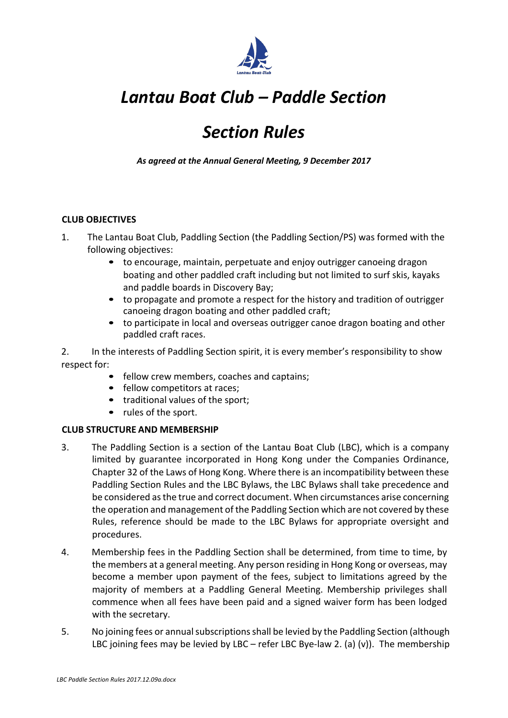

# *Section Rules*

*As agreed at the Annual General Meeting, 9 December 2017*

## **CLUB OBJECTIVES**

- 1. The Lantau Boat Club, Paddling Section (the Paddling Section/PS) was formed with the following objectives:
	- to encourage, maintain, perpetuate and enjoy outrigger canoeing dragon boating and other paddled craft including but not limited to surf skis, kayaks and paddle boards in Discovery Bay;
	- to propagate and promote a respect for the history and tradition of outrigger canoeing dragon boating and other paddled craft;
	- to participate in local and overseas outrigger canoe dragon boating and other paddled craft races.

2. In the interests of Paddling Section spirit, it is every member's responsibility to show respect for:

- fellow crew members, coaches and captains;
- fellow competitors at races;
- traditional values of the sport;
- rules of the sport.

## **CLUB STRUCTURE AND MEMBERSHIP**

- 3. The Paddling Section is a section of the Lantau Boat Club (LBC), which is a company limited by guarantee incorporated in Hong Kong under the Companies Ordinance, Chapter 32 of the Laws of Hong Kong. Where there is an incompatibility between these Paddling Section Rules and the LBC Bylaws, the LBC Bylaws shall take precedence and be considered as the true and correct document. When circumstances arise concerning the operation and management of the Paddling Section which are not covered by these Rules, reference should be made to the LBC Bylaws for appropriate oversight and procedures.
- 4. Membership fees in the Paddling Section shall be determined, from time to time, by the members at a general meeting. Any person residing in Hong Kong or overseas, may become a member upon payment of the fees, subject to limitations agreed by the majority of members at a Paddling General Meeting. Membership privileges shall commence when all fees have been paid and a signed waiver form has been lodged with the secretary.
- 5. No joining fees or annual subscriptions shall be levied by the Paddling Section (although LBC joining fees may be levied by LBC – refer LBC Bye-law 2. (a) (v)). The membership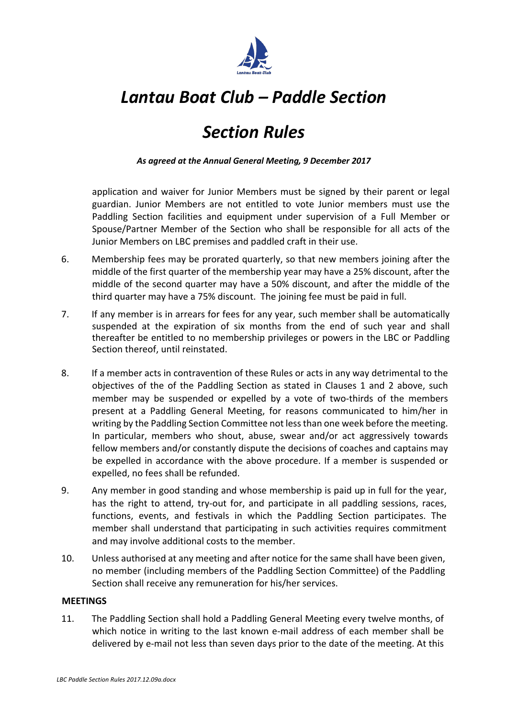

# *Section Rules*

*As agreed at the Annual General Meeting, 9 December 2017*

application and waiver for Junior Members must be signed by their parent or legal guardian. Junior Members are not entitled to vote Junior members must use the Paddling Section facilities and equipment under supervision of a Full Member or Spouse/Partner Member of the Section who shall be responsible for all acts of the Junior Members on LBC premises and paddled craft in their use.

- 6. Membership fees may be prorated quarterly, so that new members joining after the middle of the first quarter of the membership year may have a 25% discount, after the middle of the second quarter may have a 50% discount, and after the middle of the third quarter may have a 75% discount. The joining fee must be paid in full.
- 7. If any member is in arrears for fees for any year, such member shall be automatically suspended at the expiration of six months from the end of such year and shall thereafter be entitled to no membership privileges or powers in the LBC or Paddling Section thereof, until reinstated.
- 8. If a member acts in contravention of these Rules or acts in any way detrimental to the objectives of the of the Paddling Section as stated in Clauses 1 and 2 above, such member may be suspended or expelled by a vote of two-thirds of the members present at a Paddling General Meeting, for reasons communicated to him/her in writing by the Paddling Section Committee not less than one week before the meeting. In particular, members who shout, abuse, swear and/or act aggressively towards fellow members and/or constantly dispute the decisions of coaches and captains may be expelled in accordance with the above procedure. If a member is suspended or expelled, no fees shall be refunded.
- 9. Any member in good standing and whose membership is paid up in full for the year, has the right to attend, try-out for, and participate in all paddling sessions, races, functions, events, and festivals in which the Paddling Section participates. The member shall understand that participating in such activities requires commitment and may involve additional costs to the member.
- 10. Unless authorised at any meeting and after notice for the same shall have been given, no member (including members of the Paddling Section Committee) of the Paddling Section shall receive any remuneration for his/her services.

## **MEETINGS**

11. The Paddling Section shall hold a Paddling General Meeting every twelve months, of which notice in writing to the last known e-mail address of each member shall be delivered by e-mail not less than seven days prior to the date of the meeting. At this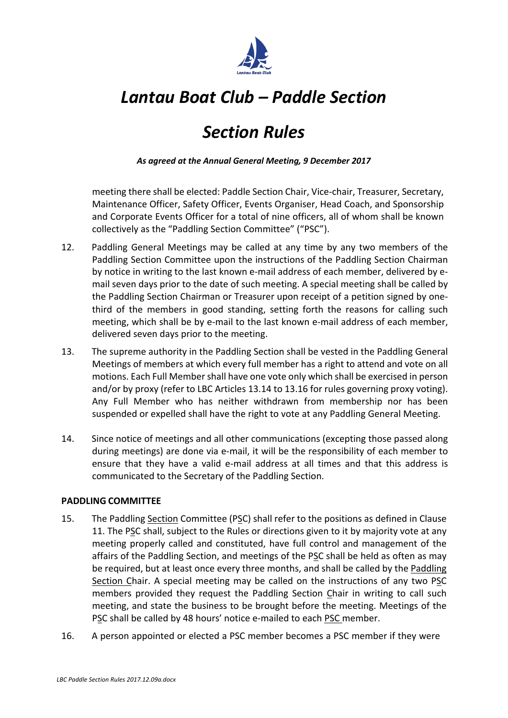

# *Section Rules*

*As agreed at the Annual General Meeting, 9 December 2017*

meeting there shall be elected: Paddle Section Chair, Vice-chair, Treasurer, Secretary, Maintenance Officer, Safety Officer, Events Organiser, Head Coach, and Sponsorship and Corporate Events Officer for a total of nine officers, all of whom shall be known collectively as the "Paddling Section Committee" ("PSC").

- 12. Paddling General Meetings may be called at any time by any two members of the Paddling Section Committee upon the instructions of the Paddling Section Chairman by notice in writing to the last known e-mail address of each member, delivered by email seven days prior to the date of such meeting. A special meeting shall be called by the Paddling Section Chairman or Treasurer upon receipt of a petition signed by onethird of the members in good standing, setting forth the reasons for calling such meeting, which shall be by e-mail to the last known e-mail address of each member, delivered seven days prior to the meeting.
- 13. The supreme authority in the Paddling Section shall be vested in the Paddling General Meetings of members at which every full member has a right to attend and vote on all motions. Each Full Membershall have one vote only which shall be exercised in person and/or by proxy (refer to LBC Articles 13.14 to 13.16 for rules governing proxy voting). Any Full Member who has neither withdrawn from membership nor has been suspended or expelled shall have the right to vote at any Paddling General Meeting.
- 14. Since notice of meetings and all other communications (excepting those passed along during meetings) are done via e-mail, it will be the responsibility of each member to ensure that they have a valid e-mail address at all times and that this address is communicated to the Secretary of the Paddling Section.

## **PADDLING COMMITTEE**

- 15. The Paddling Section Committee (PSC) shall refer to the positions as defined in Clause 11. The PSC shall, subject to the Rules or directions given to it by majority vote at any meeting properly called and constituted, have full control and management of the affairs of the Paddling Section, and meetings of the PSC shall be held as often as may be required, but at least once every three months, and shall be called by the Paddling Section Chair. A special meeting may be called on the instructions of any two PSC members provided they request the Paddling Section Chair in writing to call such meeting, and state the business to be brought before the meeting. Meetings of the PSC shall be called by 48 hours' notice e-mailed to each PSC member.
- 16. A person appointed or elected a PSC member becomes a PSC member if they were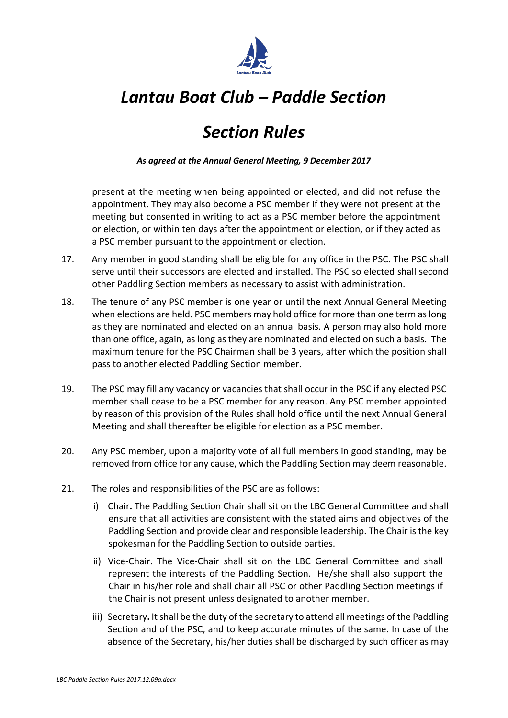

# *Section Rules*

*As agreed at the Annual General Meeting, 9 December 2017*

present at the meeting when being appointed or elected, and did not refuse the appointment. They may also become a PSC member if they were not present at the meeting but consented in writing to act as a PSC member before the appointment or election, or within ten days after the appointment or election, or if they acted as a PSC member pursuant to the appointment or election.

- 17. Any member in good standing shall be eligible for any office in the PSC. The PSC shall serve until their successors are elected and installed. The PSC so elected shall second other Paddling Section members as necessary to assist with administration.
- 18. The tenure of any PSC member is one year or until the next Annual General Meeting when elections are held. PSC members may hold office for more than one term as long as they are nominated and elected on an annual basis. A person may also hold more than one office, again, as long as they are nominated and elected on such a basis. The maximum tenure for the PSC Chairman shall be 3 years, after which the position shall pass to another elected Paddling Section member.
- 19. The PSC may fill any vacancy or vacancies that shall occur in the PSC if any elected PSC member shall cease to be a PSC member for any reason. Any PSC member appointed by reason of this provision of the Rules shall hold office until the next Annual General Meeting and shall thereafter be eligible for election as a PSC member.
- 20. Any PSC member, upon a majority vote of all full members in good standing, may be removed from office for any cause, which the Paddling Section may deem reasonable.
- 21. The roles and responsibilities of the PSC are as follows:
	- i) Chair**.** The Paddling Section Chair shall sit on the LBC General Committee and shall ensure that all activities are consistent with the stated aims and objectives of the Paddling Section and provide clear and responsible leadership. The Chair is the key spokesman for the Paddling Section to outside parties.
	- ii) Vice-Chair. The Vice-Chair shall sit on the LBC General Committee and shall represent the interests of the Paddling Section. He/she shall also support the Chair in his/her role and shall chair all PSC or other Paddling Section meetings if the Chair is not present unless designated to another member.
	- iii) Secretary**.** It shall be the duty of the secretary to attend all meetings of the Paddling Section and of the PSC, and to keep accurate minutes of the same. In case of the absence of the Secretary, his/her duties shall be discharged by such officer as may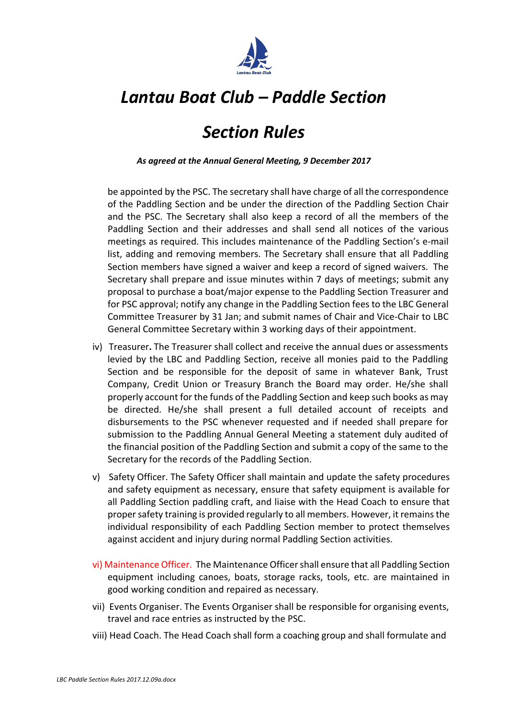

## *Section Rules*

*As agreed at the Annual General Meeting, 9 December 2017*

be appointed by the PSC. The secretary shall have charge of all the correspondence of the Paddling Section and be under the direction of the Paddling Section Chair and the PSC. The Secretary shall also keep a record of all the members of the Paddling Section and their addresses and shall send all notices of the various meetings as required. This includes maintenance of the Paddling Section's e-mail list, adding and removing members. The Secretary shall ensure that all Paddling Section members have signed a waiver and keep a record of signed waivers. The Secretary shall prepare and issue minutes within 7 days of meetings; submit any proposal to purchase a boat/major expense to the Paddling Section Treasurer and for PSC approval; notify any change in the Paddling Section fees to the LBC General Committee Treasurer by 31 Jan; and submit names of Chair and Vice-Chair to LBC General Committee Secretary within 3 working days of their appointment.

- iv) Treasurer**.** The Treasurer shall collect and receive the annual dues or assessments levied by the LBC and Paddling Section, receive all monies paid to the Paddling Section and be responsible for the deposit of same in whatever Bank, Trust Company, Credit Union or Treasury Branch the Board may order. He/she shall properly account for the funds of the Paddling Section and keep such books as may be directed. He/she shall present a full detailed account of receipts and disbursements to the PSC whenever requested and if needed shall prepare for submission to the Paddling Annual General Meeting a statement duly audited of the financial position of the Paddling Section and submit a copy of the same to the Secretary for the records of the Paddling Section.
- v) Safety Officer. The Safety Officer shall maintain and update the safety procedures and safety equipment as necessary, ensure that safety equipment is available for all Paddling Section paddling craft, and liaise with the Head Coach to ensure that propersafety training is provided regularly to all members. However, it remainsthe individual responsibility of each Paddling Section member to protect themselves against accident and injury during normal Paddling Section activities.
- vi) Maintenance Officer. The Maintenance Officershall ensure that all Paddling Section equipment including canoes, boats, storage racks, tools, etc. are maintained in good working condition and repaired as necessary.
- vii) Events Organiser. The Events Organiser shall be responsible for organising events, travel and race entries as instructed by the PSC.
- viii) Head Coach. The Head Coach shall form a coaching group and shall formulate and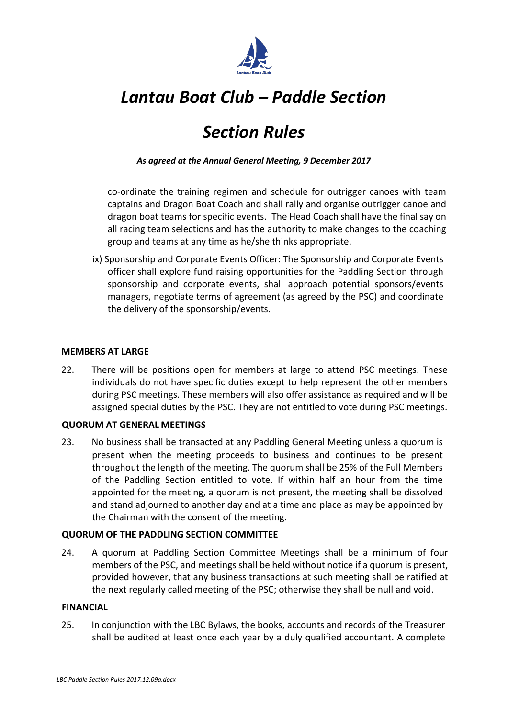

# *Section Rules*

*As agreed at the Annual General Meeting, 9 December 2017*

co-ordinate the training regimen and schedule for outrigger canoes with team captains and Dragon Boat Coach and shall rally and organise outrigger canoe and dragon boat teams for specific events. The Head Coach shall have the final say on all racing team selections and has the authority to make changes to the coaching group and teams at any time as he/she thinks appropriate.

ix) Sponsorship and Corporate Events Officer: The Sponsorship and Corporate Events officer shall explore fund raising opportunities for the Paddling Section through sponsorship and corporate events, shall approach potential sponsors/events managers, negotiate terms of agreement (as agreed by the PSC) and coordinate the delivery of the sponsorship/events.

#### **MEMBERS AT LARGE**

22. There will be positions open for members at large to attend PSC meetings. These individuals do not have specific duties except to help represent the other members during PSC meetings. These members will also offer assistance as required and will be assigned special duties by the PSC. They are not entitled to vote during PSC meetings.

## **QUORUM AT GENERAL MEETINGS**

23. No business shall be transacted at any Paddling General Meeting unless a quorum is present when the meeting proceeds to business and continues to be present throughout the length of the meeting. The quorum shall be 25% of the Full Members of the Paddling Section entitled to vote. If within half an hour from the time appointed for the meeting, a quorum is not present, the meeting shall be dissolved and stand adjourned to another day and at a time and place as may be appointed by the Chairman with the consent of the meeting.

## **QUORUM OF THE PADDLING SECTION COMMITTEE**

24. A quorum at Paddling Section Committee Meetings shall be a minimum of four members of the PSC, and meetings shall be held without notice if a quorum is present, provided however, that any business transactions at such meeting shall be ratified at the next regularly called meeting of the PSC; otherwise they shall be null and void.

#### **FINANCIAL**

25. In conjunction with the LBC Bylaws, the books, accounts and records of the Treasurer shall be audited at least once each year by a duly qualified accountant. A complete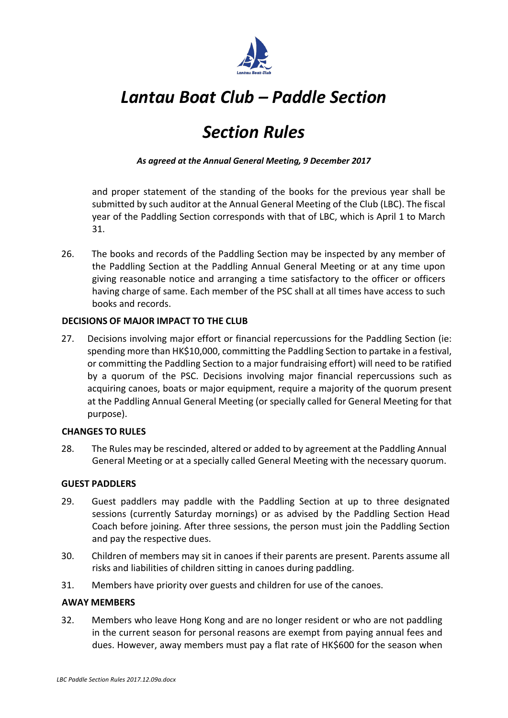

# *Section Rules*

*As agreed at the Annual General Meeting, 9 December 2017*

and proper statement of the standing of the books for the previous year shall be submitted by such auditor at the Annual General Meeting of the Club (LBC). The fiscal year of the Paddling Section corresponds with that of LBC, which is April 1 to March 31.

26. The books and records of the Paddling Section may be inspected by any member of the Paddling Section at the Paddling Annual General Meeting or at any time upon giving reasonable notice and arranging a time satisfactory to the officer or officers having charge of same. Each member of the PSC shall at all times have access to such books and records.

## **DECISIONS OF MAJOR IMPACT TO THE CLUB**

27. Decisions involving major effort or financial repercussions for the Paddling Section (ie: spending more than HK\$10,000, committing the Paddling Section to partake in a festival, or committing the Paddling Section to a major fundraising effort) will need to be ratified by a quorum of the PSC. Decisions involving major financial repercussions such as acquiring canoes, boats or major equipment, require a majority of the quorum present at the Paddling Annual General Meeting (or specially called for General Meeting for that purpose).

## **CHANGES TO RULES**

28. The Rules may be rescinded, altered or added to by agreement at the Paddling Annual General Meeting or at a specially called General Meeting with the necessary quorum.

## **GUEST PADDLERS**

- 29. Guest paddlers may paddle with the Paddling Section at up to three designated sessions (currently Saturday mornings) or as advised by the Paddling Section Head Coach before joining. After three sessions, the person must join the Paddling Section and pay the respective dues.
- 30. Children of members may sit in canoes if their parents are present. Parents assume all risks and liabilities of children sitting in canoes during paddling.
- 31. Members have priority over guests and children for use of the canoes.

#### **AWAY MEMBERS**

32. Members who leave Hong Kong and are no longer resident or who are not paddling in the current season for personal reasons are exempt from paying annual fees and dues. However, away members must pay a flat rate of HK\$600 for the season when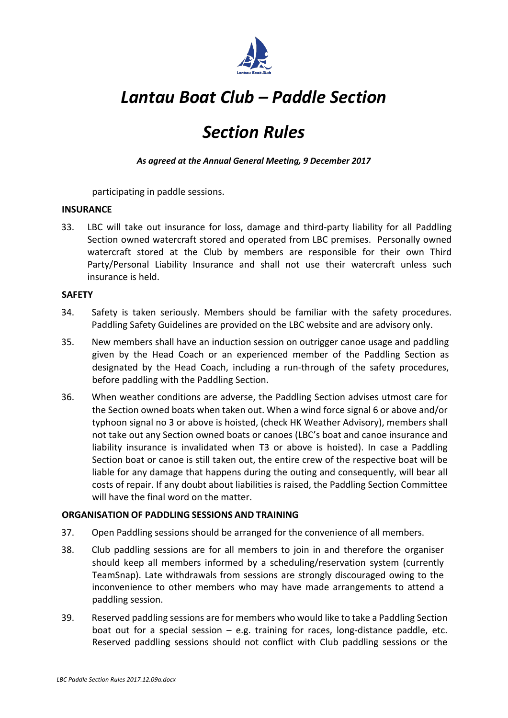

# *Section Rules*

*As agreed at the Annual General Meeting, 9 December 2017*

participating in paddle sessions.

## **INSURANCE**

33. LBC will take out insurance for loss, damage and third-party liability for all Paddling Section owned watercraft stored and operated from LBC premises. Personally owned watercraft stored at the Club by members are responsible for their own Third Party/Personal Liability Insurance and shall not use their watercraft unless such insurance is held.

## **SAFETY**

- 34. Safety is taken seriously. Members should be familiar with the safety procedures. Paddling Safety Guidelines are provided on the LBC website and are advisory only.
- 35. New members shall have an induction session on outrigger canoe usage and paddling given by the Head Coach or an experienced member of the Paddling Section as designated by the Head Coach, including a run-through of the safety procedures, before paddling with the Paddling Section.
- 36. When weather conditions are adverse, the Paddling Section advises utmost care for the Section owned boats when taken out. When a wind force signal 6 or above and/or typhoon signal no 3 or above is hoisted, (check HK Weather Advisory), members shall not take out any Section owned boats or canoes (LBC's boat and canoe insurance and liability insurance is invalidated when T3 or above is hoisted). In case a Paddling Section boat or canoe is still taken out, the entire crew of the respective boat will be liable for any damage that happens during the outing and consequently, will bear all costs of repair. If any doubt about liabilities is raised, the Paddling Section Committee will have the final word on the matter.

## **ORGANISATION OF PADDLING SESSIONS AND TRAINING**

- 37. Open Paddling sessions should be arranged for the convenience of all members.
- 38. Club paddling sessions are for all members to join in and therefore the organiser should keep all members informed by a scheduling/reservation system (currently TeamSnap). Late withdrawals from sessions are strongly discouraged owing to the inconvenience to other members who may have made arrangements to attend a paddling session.
- 39. Reserved paddling sessions are for members who would like to take a Paddling Section boat out for a special session  $-$  e.g. training for races, long-distance paddle, etc. Reserved paddling sessions should not conflict with Club paddling sessions or the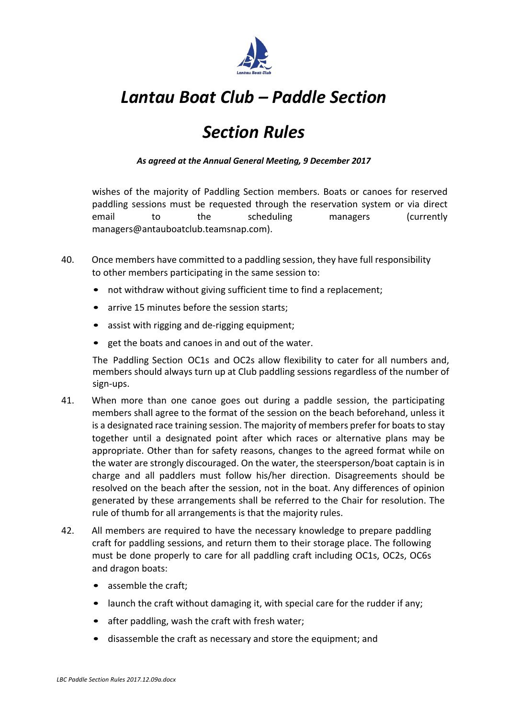

# *Section Rules*

*As agreed at the Annual General Meeting, 9 December 2017*

wishes of the majority of Paddling Section members. Boats or canoes for reserved paddling sessions must be requested through the reservation system or via direct email to the scheduling managers (currently managers@antauboatclub.teamsnap.com).

- 40. Once members have committed to a paddling session, they have full responsibility to other members participating in the same session to:
	- not withdraw without giving sufficient time to find a replacement;
	- arrive 15 minutes before the session starts;
	- assist with rigging and de-rigging equipment;
	- get the boats and canoes in and out of the water.

The Paddling Section OC1s and OC2s allow flexibility to cater for all numbers and, members should always turn up at Club paddling sessions regardless of the number of sign-ups.

- 41. When more than one canoe goes out during a paddle session, the participating members shall agree to the format of the session on the beach beforehand, unless it is a designated race training session. The majority of members prefer for boats to stay together until a designated point after which races or alternative plans may be appropriate. Other than for safety reasons, changes to the agreed format while on the water are strongly discouraged. On the water, the steersperson/boat captain is in charge and all paddlers must follow his/her direction. Disagreements should be resolved on the beach after the session, not in the boat. Any differences of opinion generated by these arrangements shall be referred to the Chair for resolution. The rule of thumb for all arrangements is that the majority rules.
- 42. All members are required to have the necessary knowledge to prepare paddling craft for paddling sessions, and return them to their storage place. The following must be done properly to care for all paddling craft including OC1s, OC2s, OC6s and dragon boats:
	- assemble the craft;
	- launch the craft without damaging it, with special care for the rudder if any;
	- after paddling, wash the craft with fresh water;
	- disassemble the craft as necessary and store the equipment; and